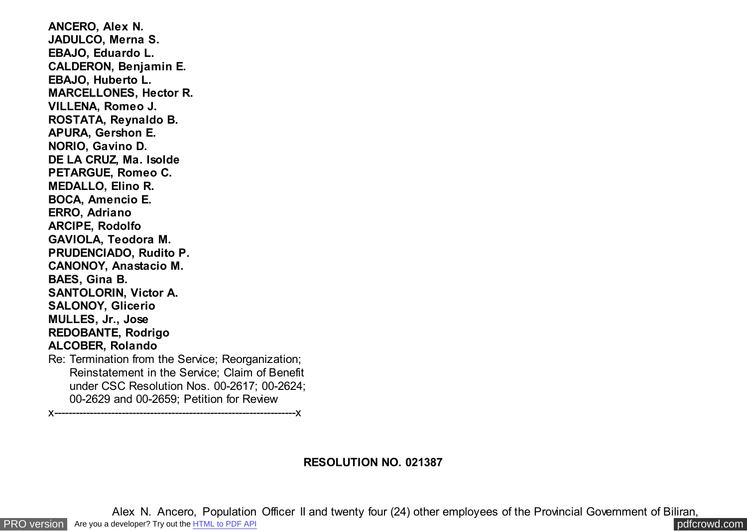**ANCERO, Alex N. JADULCO, Merna S. EBAJO, Eduardo L. CALDERON, Benjamin E. EBAJO, Huberto L. MARCELLONES, Hector R. VILLENA, Romeo J. ROSTATA, Reynaldo B. APURA, Gershon E. NORIO, Gavino D. DE LA CRUZ, Ma. Isolde PETARGUE, Romeo C. MEDALLO, Elino R. BOCA, Amencio E. ERRO, Adriano ARCIPE, Rodolfo GAVIOLA, Teodora M. PRUDENCIADO, Rudito P. CANONOY, Anastacio M. BAES, Gina B. SANTOLORIN, Victor A. SALONOY, Glicerio MULLES, Jr., Jose REDOBANTE, Rodrigo ALCOBER, Rolando** Re: Termination from the Service; Reorganization; Reinstatement in the Service; Claim of Benefit under CSC Resolution Nos. 00-2617; 00-2624; 00-2629 and 00-2659; Petition for Review x--------------------------------------------------------------------x

# **RESOLUTION NO. 021387**

Alex N. Ancero, Population Officer II and twenty four (24) other employees of the Provincial Government of Biliran,

[PRO version](http://pdfcrowd.com/customize/) Are you a developer? Try out th[e HTML to PDF API](http://pdfcrowd.com/html-to-pdf-api/?ref=pdf) compared to the comparison of the HTML to PDF API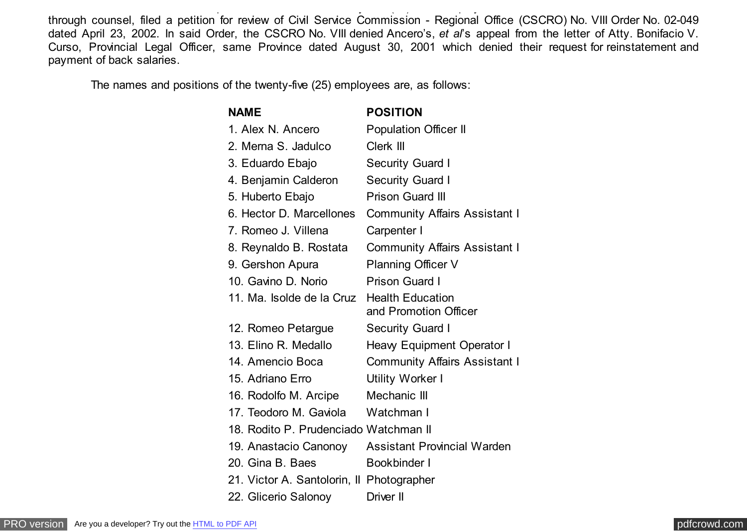through counsel, filed a petition for review of Civil Service Commission - Regional Office (CSCRO) No. VIII Order No. 02-049 dated April 23, 2002. In said Order, the CSCRO No. VIII denied Ancero's, *et al*'s appeal from the letter of Atty. Bonifacio V. Curso, Provincial Legal Officer, same Province dated August 30, 2001 which denied their request for reinstatement and payment of back salaries.

Alex N. Ancero, Population Officer II and twenty four (24) other employees of the Provincial Government of Biliran,

The names and positions of the twenty-five (25) employees are, as follows:

| <b>NAME</b>                               | <b>POSITION</b>                                  |
|-------------------------------------------|--------------------------------------------------|
| 1. Alex N. Ancero                         | <b>Population Officer II</b>                     |
| 2. Merna S. Jadulco                       | Clerk III                                        |
| 3. Eduardo Ebajo                          | <b>Security Guard I</b>                          |
| 4. Benjamin Calderon                      | <b>Security Guard I</b>                          |
| 5. Huberto Ebajo                          | <b>Prison Guard III</b>                          |
| 6. Hector D. Marcellones                  | <b>Community Affairs Assistant I</b>             |
| 7. Romeo J. Villena                       | Carpenter I                                      |
| 8. Reynaldo B. Rostata                    | <b>Community Affairs Assistant I</b>             |
| 9. Gershon Apura                          | <b>Planning Officer V</b>                        |
| 10. Gavino D. Norio                       | <b>Prison Guard I</b>                            |
| 11. Ma. Isolde de la Cruz                 | <b>Health Education</b><br>and Promotion Officer |
| 12. Romeo Petargue                        | <b>Security Guard I</b>                          |
| 13. Elino R. Medallo                      | Heavy Equipment Operator I                       |
| 14. Amencio Boca                          | <b>Community Affairs Assistant I</b>             |
| 15. Adriano Erro                          | <b>Utility Worker I</b>                          |
| 16. Rodolfo M. Arcipe                     | Mechanic III                                     |
| 17. Teodoro M. Gaviola                    | Watchman I                                       |
| 18. Rodito P. Prudenciado Watchman II     |                                                  |
| 19. Anastacio Canonoy                     | <b>Assistant Provincial Warden</b>               |
| 20. Gina B. Baes                          | Bookbinder I                                     |
| 21. Victor A. Santolorin, Il Photographer |                                                  |
| 22. Glicerio Salonoy                      | Driver II                                        |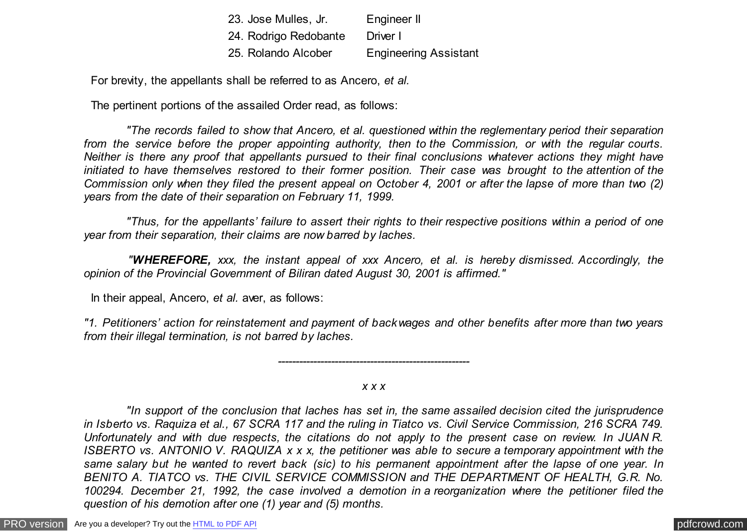| 23. Jose Mulles, Jr.  | Engineer II                  |
|-----------------------|------------------------------|
| 24. Rodrigo Redobante | Driver I                     |
| 25. Rolando Alcober   | <b>Engineering Assistant</b> |

For brevity, the appellants shall be referred to as Ancero, *et al.*

The pertinent portions of the assailed Order read, as follows:

 *"The records failed to show that Ancero, et al. questioned within the reglementary period their separation from the service before the proper appointing authority, then to the Commission, or with the regular courts. Neither is there any proof that appellants pursued to their final conclusions whatever actions they might have initiated to have themselves restored to their former position. Their case was brought to the attention of the Commission only when they filed the present appeal on October 4, 2001 or after the lapse of more than two (2) years from the date of their separation on February 11, 1999.*

 *"Thus, for the appellants' failure to assert their rights to their respective positions within a period of one year from their separation, their claims are now barred by laches.*

 *"WHEREFORE, xxx, the instant appeal of xxx Ancero, et al. is hereby dismissed. Accordingly, the opinion of the Provincial Government of Biliran dated August 30, 2001 is affirmed."*

In their appeal, Ancero, *et al.* aver, as follows:

*"1. Petitioners' action for reinstatement and payment of backwages and other benefits after more than two years from their illegal termination, is not barred by laches.*

## *x x x*

*------------------------------------------------------*

 *"In support of the conclusion that laches has set in, the same assailed decision cited the jurisprudence in Isberto vs. Raquiza et al., 67 SCRA 117 and the ruling in Tiatco vs. Civil Service Commission, 216 SCRA 749. Unfortunately and with due respects, the citations do not apply to the present case on review. In JUAN R. ISBERTO vs. ANTONIO V. RAQUIZA x x x, the petitioner was able to secure a temporary appointment with the same salary but he wanted to revert back (sic) to his permanent appointment after the lapse of one year. In BENITO A. TIATCO vs. THE CIVIL SERVICE COMMISSION and THE DEPARTMENT OF HEALTH, G.R. No. 100294. December 21, 1992, the case involved a demotion in a reorganization where the petitioner filed the question of his demotion after one (1) year and (5) months.*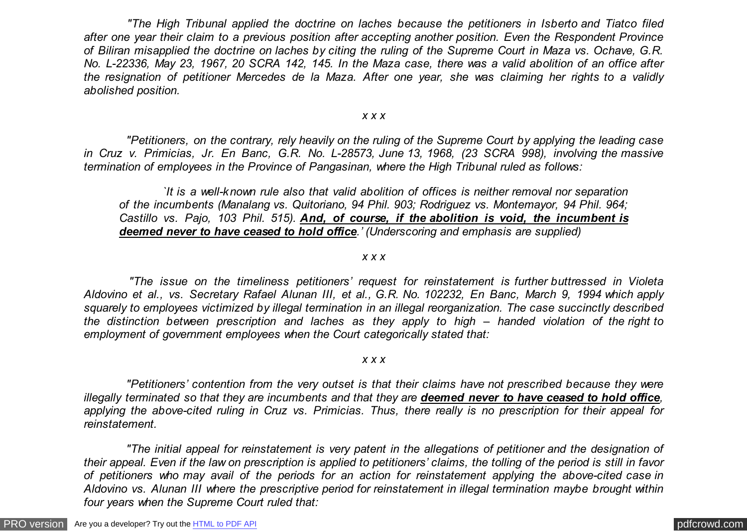*"The High Tribunal applied the doctrine on laches because the petitioners in Isberto and Tiatco filed after one year their claim to a previous position after accepting another position. Even the Respondent Province of Biliran misapplied the doctrine on laches by citing the ruling of the Supreme Court in Maza vs. Ochave, G.R. No. L-22336, May 23, 1967, 20 SCRA 142, 145. In the Maza case, there was a valid abolition of an office after the resignation of petitioner Mercedes de la Maza. After one year, she was claiming her rights to a validly abolished position.*

#### *x x x*

 *"Petitioners, on the contrary, rely heavily on the ruling of the Supreme Court by applying the leading case in Cruz v. Primicias, Jr. En Banc, G.R. No. L-28573, June 13, 1968, (23 SCRA 998), involving the massive termination of employees in the Province of Pangasinan, where the High Tribunal ruled as follows:*

 *`It is a well-known rule also that valid abolition of offices is neither removal nor separation of the incumbents (Manalang vs. Quitoriano, 94 Phil. 903; Rodriguez vs. Montemayor, 94 Phil. 964; Castillo vs. Pajo, 103 Phil. 515). And, of course, if the abolition is void, the incumbent is deemed never to have ceased to hold office.' (Underscoring and emphasis are supplied)*

#### *x x x*

 *"The issue on the timeliness petitioners' request for reinstatement is further buttressed in Violeta Aldovino et al., vs. Secretary Rafael Alunan III, et al., G.R. No. 102232, En Banc, March 9, 1994 which apply squarely to employees victimized by illegal termination in an illegal reorganization. The case succinctly described the distinction between prescription and laches as they apply to high – handed violation of the right to employment of government employees when the Court categorically stated that:*

#### *x x x*

 *"Petitioners' contention from the very outset is that their claims have not prescribed because they were illegally terminated so that they are incumbents and that they are deemed never to have ceased to hold office, applying the above-cited ruling in Cruz vs. Primicias. Thus, there really is no prescription for their appeal for reinstatement.*

 *"The initial appeal for reinstatement is very patent in the allegations of petitioner and the designation of their appeal. Even if the law on prescription is applied to petitioners' claims, the tolling of the period is still in favor of petitioners who may avail of the periods for an action for reinstatement applying the above-cited case in Aldovino vs. Alunan III where the prescriptive period for reinstatement in illegal termination maybe brought within four years when the Supreme Court ruled that:*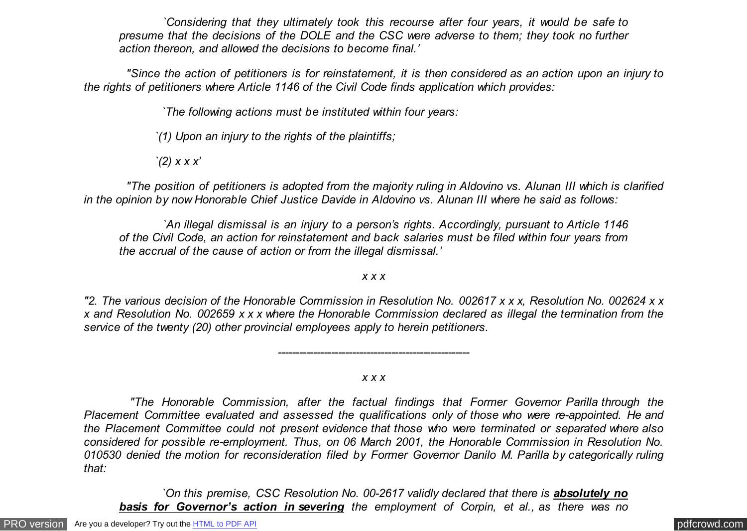*`Considering that they ultimately took this recourse after four years, it would be safe to presume that the decisions of the DOLE and the CSC were adverse to them; they took no further action thereon, and allowed the decisions to become final.'*

 *"Since the action of petitioners is for reinstatement, it is then considered as an action upon an injury to the rights of petitioners where Article 1146 of the Civil Code finds application which provides:*

 *`The following actions must be instituted within four years:*

*`(1) Upon an injury to the rights of the plaintiffs;*

*`(2) x x x'*

 *"The position of petitioners is adopted from the majority ruling in Aldovino vs. Alunan III which is clarified in the opinion by now Honorable Chief Justice Davide in Aldovino vs. Alunan III where he said as follows:*

 *`An illegal dismissal is an injury to a person's rights. Accordingly, pursuant to Article 1146 of the Civil Code, an action for reinstatement and back salaries must be filed within four years from the accrual of the cause of action or from the illegal dismissal.'*

*x x x*

*"2. The various decision of the Honorable Commission in Resolution No. 002617 x x x, Resolution No. 002624 x x x and Resolution No. 002659 x x x where the Honorable Commission declared as illegal the termination from the service of the twenty (20) other provincial employees apply to herein petitioners.*

*x x x*

*------------------------------------------------------*

 *"The Honorable Commission, after the factual findings that Former Governor Parilla through the Placement Committee evaluated and assessed the qualifications only of those who were re-appointed. He and the Placement Committee could not present evidence that those who were terminated or separated where also considered for possible re-employment. Thus, on 06 March 2001, the Honorable Commission in Resolution No. 010530 denied the motion for reconsideration filed by Former Governor Danilo M. Parilla by categorically ruling that:*

*<i><u>On this premise, CSC Resolution No. 00-2617 validly declared that there is absolutely no*</u> *basis for Governor's action in severing the employment of Corpin, et al., as there was no*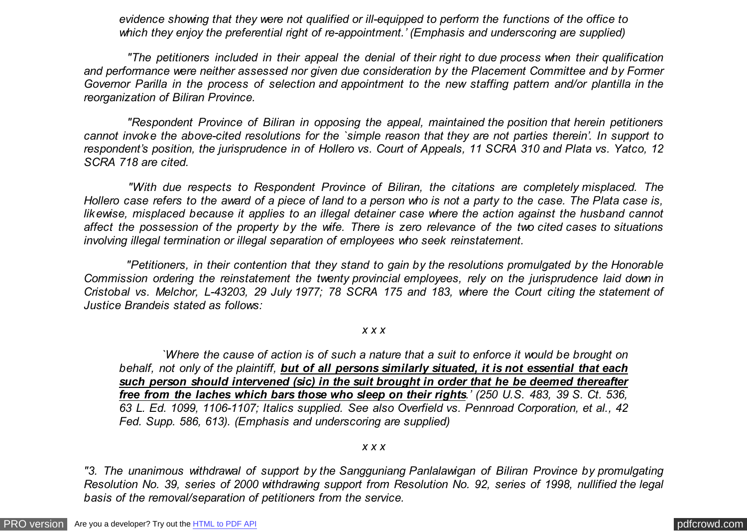*evidence showing that they were not qualified or ill-equipped to perform the functions of the office to which they enjoy the preferential right of re-appointment.' (Emphasis and underscoring are supplied)*

 *"The petitioners included in their appeal the denial of their right to due process when their qualification and performance were neither assessed nor given due consideration by the Placement Committee and by Former Governor Parilla in the process of selection and appointment to the new staffing pattern and/or plantilla in the reorganization of Biliran Province.*

 *"Respondent Province of Biliran in opposing the appeal, maintained the position that herein petitioners cannot invoke the above-cited resolutions for the `simple reason that they are not parties therein'. In support to respondent's position, the jurisprudence in of Hollero vs. Court of Appeals, 11 SCRA 310 and Plata vs. Yatco, 12 SCRA 718 are cited.*

 *"With due respects to Respondent Province of Biliran, the citations are completely misplaced. The Hollero case refers to the award of a piece of land to a person who is not a party to the case. The Plata case is, likewise, misplaced because it applies to an illegal detainer case where the action against the husband cannot affect the possession of the property by the wife. There is zero relevance of the two cited cases to situations involving illegal termination or illegal separation of employees who seek reinstatement.*

 *"Petitioners, in their contention that they stand to gain by the resolutions promulgated by the Honorable Commission ordering the reinstatement the twenty provincial employees, rely on the jurisprudence laid down in Cristobal vs. Melchor, L-43203, 29 July 1977; 78 SCRA 175 and 183, where the Court citing the statement of Justice Brandeis stated as follows:*

## *x x x*

 *`Where the cause of action is of such a nature that a suit to enforce it would be brought on behalf, not only of the plaintiff, but of all persons similarly situated, it is not essential that each such person should intervened (sic) in the suit brought in order that he be deemed thereafter free from the laches which bars those who sleep on their rights.' (250 U.S. 483, 39 S. Ct. 536, 63 L. Ed. 1099, 1106-1107; Italics supplied. See also Overfield vs. Pennroad Corporation, et al., 42 Fed. Supp. 586, 613). (Emphasis and underscoring are supplied)*

### *x x x*

*"3. The unanimous withdrawal of support by the Sangguniang Panlalawigan of Biliran Province by promulgating Resolution No. 39, series of 2000 withdrawing support from Resolution No. 92, series of 1998, nullified the legal basis of the removal/separation of petitioners from the service.*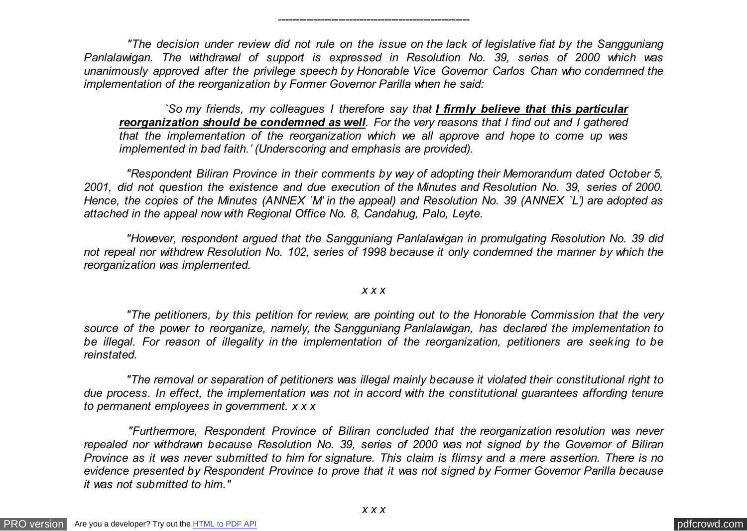*"The decision under review did not rule on the issue on the lack of legislative fiat by the Sangguniang Panlalawigan. The withdrawal of support is expressed in Resolution No. 39, series of 2000 which was unanimously approved after the privilege speech by Honorable Vice Governor Carlos Chan who condemned the implementation of the reorganization by Former Governor Parilla when he said:*

*------------------------------------------------------*

 *`So my friends, my colleagues I therefore say that I firmly believe that this particular reorganization should be condemned as well. For the very reasons that I find out and I gathered that the implementation of the reorganization which we all approve and hope to come up was implemented in bad faith.' (Underscoring and emphasis are provided).*

 *"Respondent Biliran Province in their comments by way of adopting their Memorandum dated October 5, 2001, did not question the existence and due execution of the Minutes and Resolution No. 39, series of 2000. Hence, the copies of the Minutes (ANNEX `M' in the appeal) and Resolution No. 39 (ANNEX `L') are adopted as attached in the appeal now with Regional Office No. 8, Candahug, Palo, Leyte.*

 *"However, respondent argued that the Sangguniang Panlalawigan in promulgating Resolution No. 39 did not repeal nor withdrew Resolution No. 102, series of 1998 because it only condemned the manner by which the reorganization was implemented.*

## *x x x*

 *"The petitioners, by this petition for review, are pointing out to the Honorable Commission that the very source of the power to reorganize, namely, the Sangguniang Panlalawigan, has declared the implementation to be illegal. For reason of illegality in the implementation of the reorganization, petitioners are seeking to be reinstated.*

 *"The removal or separation of petitioners was illegal mainly because it violated their constitutional right to due process. In effect, the implementation was not in accord with the constitutional guarantees affording tenure to permanent employees in government. x x x*

 *"Furthermore, Respondent Province of Biliran concluded that the reorganization resolution was never repealed nor withdrawn because Resolution No. 39, series of 2000 was not signed by the Governor of Biliran Province as it was never submitted to him for signature. This claim is flimsy and a mere assertion. There is no evidence presented by Respondent Province to prove that it was not signed by Former Governor Parilla because it was not submitted to him."*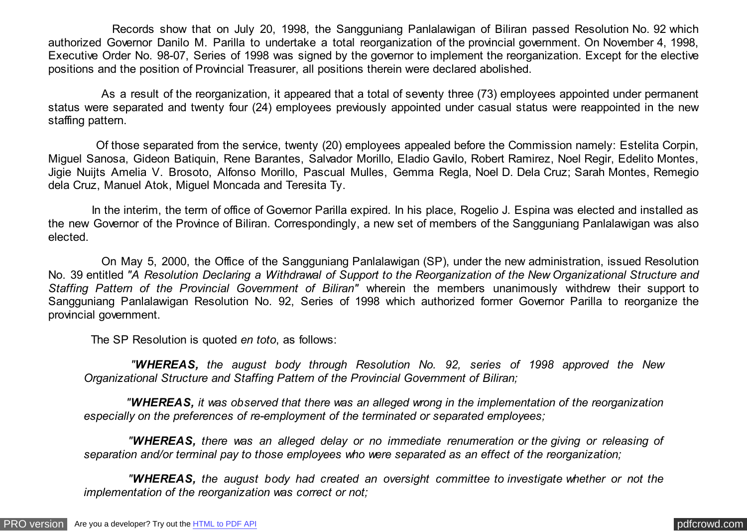Records show that on July 20, 1998, the Sangguniang Panlalawigan of Biliran passed Resolution No. 92 which authorized Governor Danilo M. Parilla to undertake a total reorganization of the provincial government. On November 4, 1998, Executive Order No. 98-07, Series of 1998 was signed by the governor to implement the reorganization. Except for the elective positions and the position of Provincial Treasurer, all positions therein were declared abolished.

 As a result of the reorganization, it appeared that a total of seventy three (73) employees appointed under permanent status were separated and twenty four (24) employees previously appointed under casual status were reappointed in the new staffing pattern.

 Of those separated from the service, twenty (20) employees appealed before the Commission namely: Estelita Corpin, Miguel Sanosa, Gideon Batiquin, Rene Barantes, Salvador Morillo, Eladio Gavilo, Robert Ramirez, Noel Regir, Edelito Montes, Jigie Nuijts Amelia V. Brosoto, Alfonso Morillo, Pascual Mulles, Gemma Regla, Noel D. Dela Cruz; Sarah Montes, Remegio dela Cruz, Manuel Atok, Miguel Moncada and Teresita Ty.

In the interim, the term of office of Governor Parilla expired. In his place, Rogelio J. Espina was elected and installed as the new Governor of the Province of Biliran. Correspondingly, a new set of members of the Sangguniang Panlalawigan was also elected.

 On May 5, 2000, the Office of the Sangguniang Panlalawigan (SP), under the new administration, issued Resolution No. 39 entitled *"A Resolution Declaring a Withdrawal of Support to the Reorganization of the New Organizational Structure and Staffing Pattern of the Provincial Government of Biliran"* wherein the members unanimously withdrew their support to Sangguniang Panlalawigan Resolution No. 92, Series of 1998 which authorized former Governor Parilla to reorganize the provincial government.

The SP Resolution is quoted *en toto*, as follows:

 *"WHEREAS, the august body through Resolution No. 92, series of 1998 approved the New Organizational Structure and Staffing Pattern of the Provincial Government of Biliran;*

 *"WHEREAS, it was observed that there was an alleged wrong in the implementation of the reorganization especially on the preferences of re-employment of the terminated or separated employees;*

 *"WHEREAS, there was an alleged delay or no immediate renumeration or the giving or releasing of separation and/or terminal pay to those employees who were separated as an effect of the reorganization;*

 *"WHEREAS, the august body had created an oversight committee to investigate whether or not the implementation of the reorganization was correct or not;*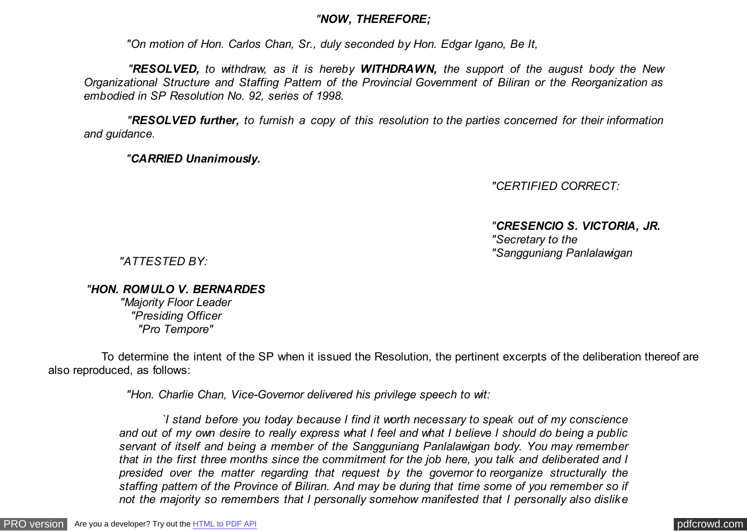# *"NOW, THEREFORE;*

 *"On motion of Hon. Carlos Chan, Sr., duly seconded by Hon. Edgar Igano, Be It,*

 *"RESOLVED, to withdraw, as it is hereby WITHDRAWN, the support of the august body the New Organizational Structure and Staffing Pattern of the Provincial Government of Biliran or the Reorganization as embodied in SP Resolution No. 92, series of 1998.*

 *"RESOLVED further, to furnish a copy of this resolution to the parties concerned for their information and guidance.*

 *"CARRIED Unanimously.*

*"CERTIFIED CORRECT:*

*"CRESENCIO S. VICTORIA, JR. "Secretary to the "Sangguniang Panlalawigan*

*"ATTESTED BY:*

*"HON. ROMULO V. BERNARDES*

*"Majority Floor Leader "Presiding Officer "Pro Tempore"*

 To determine the intent of the SP when it issued the Resolution, the pertinent excerpts of the deliberation thereof are also reproduced, as follows:

 *"Hon. Charlie Chan, Vice-Governor delivered his privilege speech to wit:*

 *`I stand before you today because I find it worth necessary to speak out of my conscience and out of my own desire to really express what I feel and what I believe I should do being a public servant of itself and being a member of the Sangguniang Panlalawigan body. You may remember that in the first three months since the commitment for the job here, you talk and deliberated and I presided over the matter regarding that request by the governor to reorganize structurally the staffing pattern of the Province of Biliran. And may be during that time some of you remember so if not the majority so remembers that I personally somehow manifested that I personally also dislike*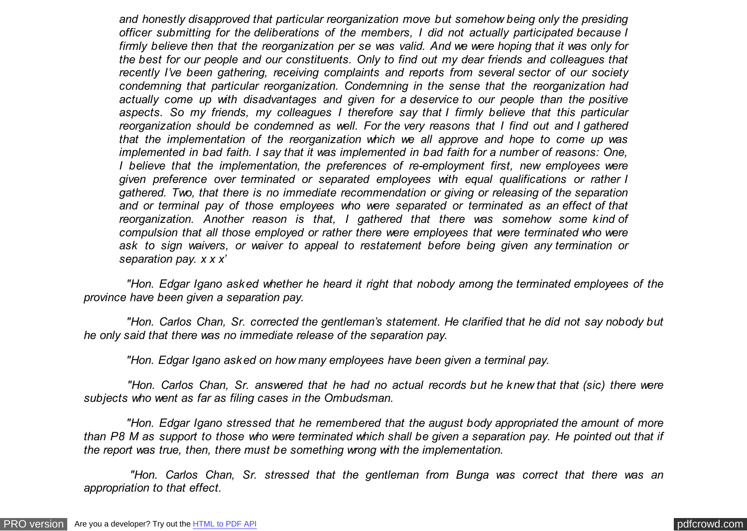*and honestly disapproved that particular reorganization move but somehow being only the presiding officer submitting for the deliberations of the members, I did not actually participated because I firmly believe then that the reorganization per se was valid. And we were hoping that it was only for the best for our people and our constituents. Only to find out my dear friends and colleagues that recently I've been gathering, receiving complaints and reports from several sector of our society condemning that particular reorganization. Condemning in the sense that the reorganization had actually come up with disadvantages and given for a deservice to our people than the positive aspects. So my friends, my colleagues I therefore say that I firmly believe that this particular reorganization should be condemned as well. For the very reasons that I find out and I gathered that the implementation of the reorganization which we all approve and hope to come up was implemented in bad faith. I say that it was implemented in bad faith for a number of reasons: One, I believe that the implementation, the preferences of re-employment first, new employees were given preference over terminated or separated employees with equal qualifications or rather I gathered. Two, that there is no immediate recommendation or giving or releasing of the separation and or terminal pay of those employees who were separated or terminated as an effect of that reorganization. Another reason is that, I gathered that there was somehow some kind of compulsion that all those employed or rather there were employees that were terminated who were ask to sign waivers, or waiver to appeal to restatement before being given any termination or separation pay. x x x'*

 *"Hon. Edgar Igano asked whether he heard it right that nobody among the terminated employees of the province have been given a separation pay.*

 *"Hon. Carlos Chan, Sr. corrected the gentleman's statement. He clarified that he did not say nobody but he only said that there was no immediate release of the separation pay.*

 *"Hon. Edgar Igano asked on how many employees have been given a terminal pay.*

 *"Hon. Carlos Chan, Sr. answered that he had no actual records but he knew that that (sic) there were subjects who went as far as filing cases in the Ombudsman.*

 *"Hon. Edgar Igano stressed that he remembered that the august body appropriated the amount of more than P8 M as support to those who were terminated which shall be given a separation pay. He pointed out that if the report was true, then, there must be something wrong with the implementation.*

 *"Hon. Carlos Chan, Sr. stressed that the gentleman from Bunga was correct that there was an appropriation to that effect.*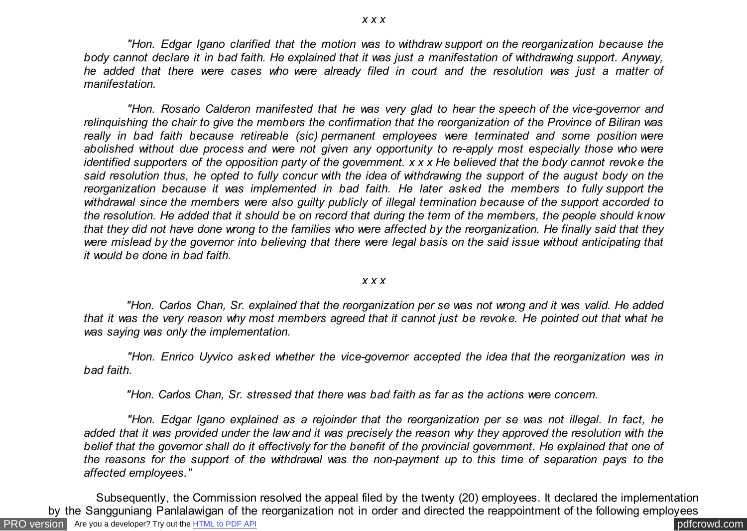*"Hon. Edgar Igano clarified that the motion was to withdraw support on the reorganization because the body cannot declare it in bad faith. He explained that it was just a manifestation of withdrawing support. Anyway, he added that there were cases who were already filed in court and the resolution was just a matter of manifestation.*

 *"Hon. Rosario Calderon manifested that he was very glad to hear the speech of the vice-governor and relinquishing the chair to give the members the confirmation that the reorganization of the Province of Biliran was really in bad faith because retireable (sic) permanent employees were terminated and some position were abolished without due process and were not given any opportunity to re-apply most especially those who were identified supporters of the opposition party of the government. x x x He believed that the body cannot revoke the said resolution thus, he opted to fully concur with the idea of withdrawing the support of the august body on the reorganization because it was implemented in bad faith. He later asked the members to fully support the withdrawal since the members were also guilty publicly of illegal termination because of the support accorded to the resolution. He added that it should be on record that during the term of the members, the people should know that they did not have done wrong to the families who were affected by the reorganization. He finally said that they were mislead by the governor into believing that there were legal basis on the said issue without anticipating that it would be done in bad faith.*

### *x x x*

 *"Hon. Carlos Chan, Sr. explained that the reorganization per se was not wrong and it was valid. He added that it was the very reason why most members agreed that it cannot just be revoke. He pointed out that what he was saying was only the implementation.*

 *"Hon. Enrico Uyvico asked whether the vice-governor accepted the idea that the reorganization was in bad faith.*

 *"Hon. Carlos Chan, Sr. stressed that there was bad faith as far as the actions were concern.*

 *"Hon. Edgar Igano explained as a rejoinder that the reorganization per se was not illegal. In fact, he added that it was provided under the law and it was precisely the reason why they approved the resolution with the belief that the governor shall do it effectively for the benefit of the provincial government. He explained that one of the reasons for the support of the withdrawal was the non-payment up to this time of separation pays to the affected employees."*

[PRO version](http://pdfcrowd.com/customize/) Are you a developer? Try out th[e HTML to PDF API](http://pdfcrowd.com/html-to-pdf-api/?ref=pdf) contract the community of the HTML to PDF API [pdfcrowd.com](http://pdfcrowd.com) Subsequently, the Commission resolved the appeal filed by the twenty (20) employees. It declared the implementation by the Sangguniang Panlalawigan of the reorganization not in order and directed the reappointment of the following employees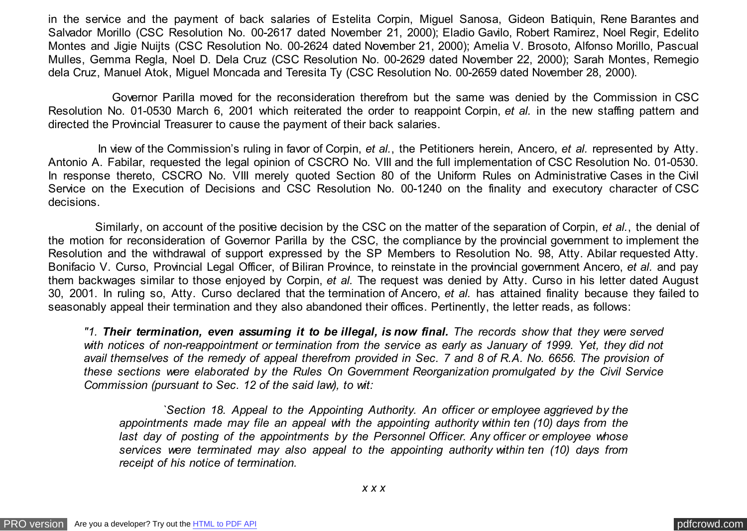in the service and the payment of back salaries of Estelita Corpin, Miguel Sanosa, Gideon Batiquin, Rene Barantes and Salvador Morillo (CSC Resolution No. 00-2617 dated November 21, 2000); Eladio Gavilo, Robert Ramirez, Noel Regir, Edelito Montes and Jigie Nuijts (CSC Resolution No. 00-2624 dated November 21, 2000); Amelia V. Brosoto, Alfonso Morillo, Pascual Mulles, Gemma Regla, Noel D. Dela Cruz (CSC Resolution No. 00-2629 dated November 22, 2000); Sarah Montes, Remegio dela Cruz, Manuel Atok, Miguel Moncada and Teresita Ty (CSC Resolution No. 00-2659 dated November 28, 2000).

 Governor Parilla moved for the reconsideration therefrom but the same was denied by the Commission in CSC Resolution No. 01-0530 March 6, 2001 which reiterated the order to reappoint Corpin, *et al.* in the new staffing pattern and directed the Provincial Treasurer to cause the payment of their back salaries.

 In view of the Commission's ruling in favor of Corpin, *et al.*, the Petitioners herein, Ancero, *et al.* represented by Atty. Antonio A. Fabilar, requested the legal opinion of CSCRO No. VIII and the full implementation of CSC Resolution No. 01-0530. In response thereto, CSCRO No. VIII merely quoted Section 80 of the Uniform Rules on Administrative Cases in the Civil Service on the Execution of Decisions and CSC Resolution No. 00-1240 on the finality and executory character of CSC decisions.

 Similarly, on account of the positive decision by the CSC on the matter of the separation of Corpin, *et al.*, the denial of the motion for reconsideration of Governor Parilla by the CSC, the compliance by the provincial government to implement the Resolution and the withdrawal of support expressed by the SP Members to Resolution No. 98, Atty. Abilar requested Atty. Bonifacio V. Curso, Provincial Legal Officer, of Biliran Province, to reinstate in the provincial government Ancero, *et al.* and pay them backwages similar to those enjoyed by Corpin, *et al.* The request was denied by Atty. Curso in his letter dated August 30, 2001. In ruling so, Atty. Curso declared that the termination of Ancero, *et al.* has attained finality because they failed to seasonably appeal their termination and they also abandoned their offices. Pertinently, the letter reads, as follows:

*"1. Their termination, even assuming it to be illegal, is now final. The records show that they were served with notices of non-reappointment or termination from the service as early as January of 1999. Yet, they did not avail themselves of the remedy of appeal therefrom provided in Sec. 7 and 8 of R.A. No. 6656. The provision of these sections were elaborated by the Rules On Government Reorganization promulgated by the Civil Service Commission (pursuant to Sec. 12 of the said law), to wit:*

 *`Section 18. Appeal to the Appointing Authority. An officer or employee aggrieved by the appointments made may file an appeal with the appointing authority within ten (10) days from the last day of posting of the appointments by the Personnel Officer. Any officer or employee whose services were terminated may also appeal to the appointing authority within ten (10) days from receipt of his notice of termination.*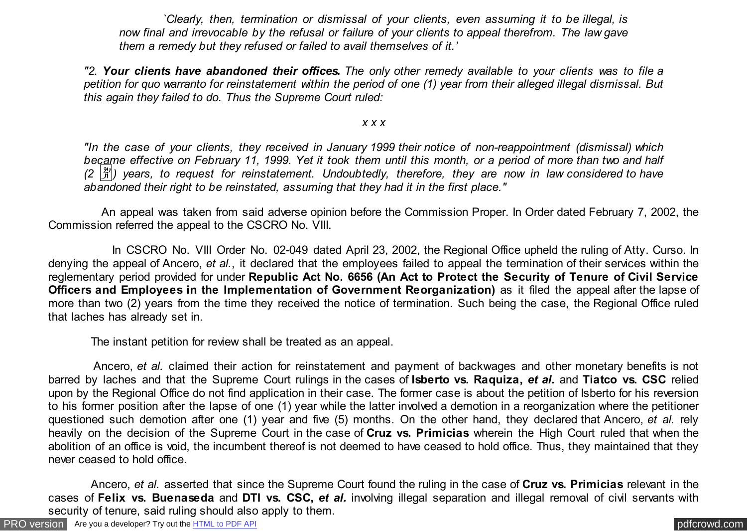*`Clearly, then, termination or dismissal of your clients, even assuming it to be illegal, is now final and irrevocable by the refusal or failure of your clients to appeal therefrom. The law gave them a remedy but they refused or failed to avail themselves of it.'*

*"2. Your clients have abandoned their offices. The only other remedy available to your clients was to file a petition for quo warranto for reinstatement within the period of one (1) year from their alleged illegal dismissal. But this again they failed to do. Thus the Supreme Court ruled:*

## *x x x*

*"In the case of your clients, they received in January 1999 their notice of non-reappointment (dismissal) which became effective on February 11, 1999. Yet it took them until this month, or a period of more than two and half (2* �*) years, to request for reinstatement. Undoubtedly, therefore, they are now in law considered to have abandoned their right to be reinstated, assuming that they had it in the first place."*

 An appeal was taken from said adverse opinion before the Commission Proper. In Order dated February 7, 2002, the Commission referred the appeal to the CSCRO No. VIII.

 In CSCRO No. VIII Order No. 02-049 dated April 23, 2002, the Regional Office upheld the ruling of Atty. Curso. In denying the appeal of Ancero, *et al.*, it declared that the employees failed to appeal the termination of their services within the reglementary period provided for under **Republic Act No. 6656 (An Act to Protect the Security of Tenure of Civil Service Officers and Employees in the Implementation of Government Reorganization)** as it filed the appeal after the lapse of more than two (2) years from the time they received the notice of termination. Such being the case, the Regional Office ruled that laches has already set in.

The instant petition for review shall be treated as an appeal.

 Ancero, *et al.* claimed their action for reinstatement and payment of backwages and other monetary benefits is not barred by laches and that the Supreme Court rulings in the cases of **Isberto vs. Raquiza,** *et al.* and **Tiatco vs. CSC** relied upon by the Regional Office do not find application in their case. The former case is about the petition of Isberto for his reversion to his former position after the lapse of one (1) year while the latter involved a demotion in a reorganization where the petitioner questioned such demotion after one (1) year and five (5) months. On the other hand, they declared that Ancero, *et al.* rely heavily on the decision of the Supreme Court in the case of **Cruz vs. Primicias** wherein the High Court ruled that when the abolition of an office is void, the incumbent thereof is not deemed to have ceased to hold office. Thus, they maintained that they never ceased to hold office.

 Ancero, *et al.* asserted that since the Supreme Court found the ruling in the case of **Cruz vs. Primicias** relevant in the cases of **Felix vs. Buenaseda** and **DTI vs. CSC,** *et al.* involving illegal separation and illegal removal of civil servants with security of tenure, said ruling should also apply to them.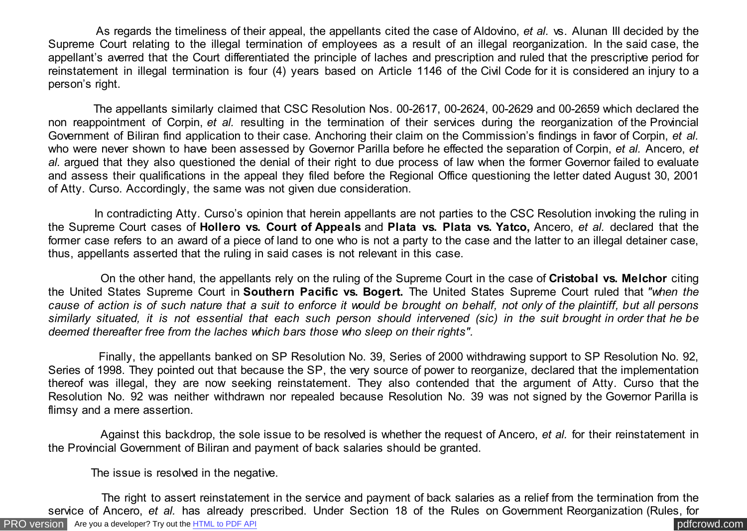As regards the timeliness of their appeal, the appellants cited the case of Aldovino, *et al.* vs. Alunan III decided by the Supreme Court relating to the illegal termination of employees as a result of an illegal reorganization. In the said case, the appellant's averred that the Court differentiated the principle of laches and prescription and ruled that the prescriptive period for reinstatement in illegal termination is four (4) years based on Article 1146 of the Civil Code for it is considered an injury to a person's right.

 The appellants similarly claimed that CSC Resolution Nos. 00-2617, 00-2624, 00-2629 and 00-2659 which declared the non reappointment of Corpin, *et al.* resulting in the termination of their services during the reorganization of the Provincial Government of Biliran find application to their case. Anchoring their claim on the Commission's findings in favor of Corpin, *et al.* who were never shown to have been assessed by Governor Parilla before he effected the separation of Corpin, *et al.* Ancero, *et al.* argued that they also questioned the denial of their right to due process of law when the former Governor failed to evaluate and assess their qualifications in the appeal they filed before the Regional Office questioning the letter dated August 30, 2001 of Atty. Curso. Accordingly, the same was not given due consideration.

 In contradicting Atty. Curso's opinion that herein appellants are not parties to the CSC Resolution invoking the ruling in the Supreme Court cases of **Hollero vs. Court of Appeals** and **Plata vs. Plata vs. Yatco,** Ancero, *et al.* declared that the former case refers to an award of a piece of land to one who is not a party to the case and the latter to an illegal detainer case, thus, appellants asserted that the ruling in said cases is not relevant in this case.

 On the other hand, the appellants rely on the ruling of the Supreme Court in the case of **Cristobal vs. Melchor** citing the United States Supreme Court in **Southern Pacific vs. Bogert.** The United States Supreme Court ruled that *"when the cause of action is of such nature that a suit to enforce it would be brought on behalf, not only of the plaintiff, but all persons similarly situated, it is not essential that each such person should intervened (sic) in the suit brought in order that he be deemed thereafter free from the laches which bars those who sleep on their rights".*

 Finally, the appellants banked on SP Resolution No. 39, Series of 2000 withdrawing support to SP Resolution No. 92, Series of 1998. They pointed out that because the SP, the very source of power to reorganize, declared that the implementation thereof was illegal, they are now seeking reinstatement. They also contended that the argument of Atty. Curso that the Resolution No. 92 was neither withdrawn nor repealed because Resolution No. 39 was not signed by the Governor Parilla is flimsy and a mere assertion.

 Against this backdrop, the sole issue to be resolved is whether the request of Ancero, *et al.* for their reinstatement in the Provincial Government of Biliran and payment of back salaries should be granted.

The issue is resolved in the negative.

[PRO version](http://pdfcrowd.com/customize/) Are you a developer? Try out th[e HTML to PDF API](http://pdfcrowd.com/html-to-pdf-api/?ref=pdf) contract the community of the HTML to PDF API [pdfcrowd.com](http://pdfcrowd.com) The right to assert reinstatement in the service and payment of back salaries as a relief from the termination from the service of Ancero, *et al.* has already prescribed. Under Section 18 of the Rules on Government Reorganization (Rules, for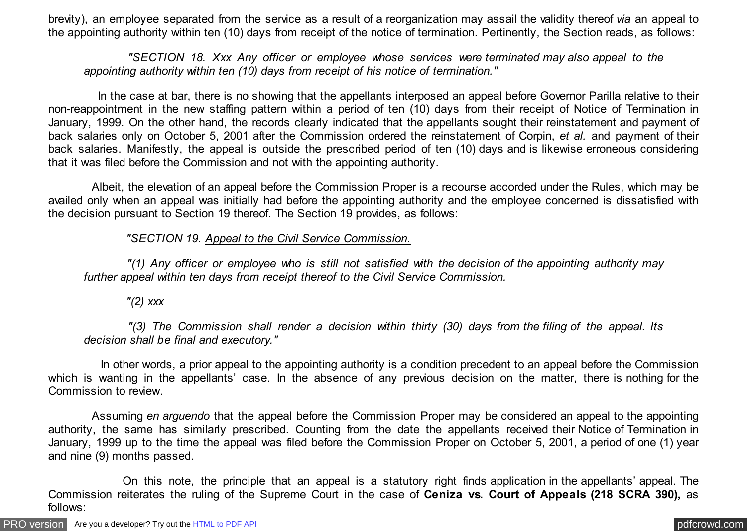brevity), an employee separated from the service as a result of a reorganization may assail the validity thereof *via* an appeal to the appointing authority within ten (10) days from receipt of the notice of termination. Pertinently, the Section reads, as follows:

 *"SECTION 18. Xxx Any officer or employee whose services were terminated may also appeal to the appointing authority within ten (10) days from receipt of his notice of termination."*

 In the case at bar, there is no showing that the appellants interposed an appeal before Governor Parilla relative to their non-reappointment in the new staffing pattern within a period of ten (10) days from their receipt of Notice of Termination in January, 1999. On the other hand, the records clearly indicated that the appellants sought their reinstatement and payment of back salaries only on October 5, 2001 after the Commission ordered the reinstatement of Corpin, *et al.* and payment of their back salaries. Manifestly, the appeal is outside the prescribed period of ten (10) days and is likewise erroneous considering that it was filed before the Commission and not with the appointing authority.

 Albeit, the elevation of an appeal before the Commission Proper is a recourse accorded under the Rules, which may be availed only when an appeal was initially had before the appointing authority and the employee concerned is dissatisfied with the decision pursuant to Section 19 thereof. The Section 19 provides, as follows:

 *"SECTION 19. Appeal to the Civil Service Commission.*

 *"(1) Any officer or employee who is still not satisfied with the decision of the appointing authority may further appeal within ten days from receipt thereof to the Civil Service Commission.*

 *"(2) xxx*

 *"(3) The Commission shall render a decision within thirty (30) days from the filing of the appeal. Its decision shall be final and executory."*

 In other words, a prior appeal to the appointing authority is a condition precedent to an appeal before the Commission which is wanting in the appellants' case. In the absence of any previous decision on the matter, there is nothing for the Commission to review.

 Assuming *en arguendo* that the appeal before the Commission Proper may be considered an appeal to the appointing authority, the same has similarly prescribed. Counting from the date the appellants received their Notice of Termination in January, 1999 up to the time the appeal was filed before the Commission Proper on October 5, 2001, a period of one (1) year and nine (9) months passed.

 On this note, the principle that an appeal is a statutory right finds application in the appellants' appeal. The Commission reiterates the ruling of the Supreme Court in the case of **Ceniza vs. Court of Appeals (218 SCRA 390),** as follows: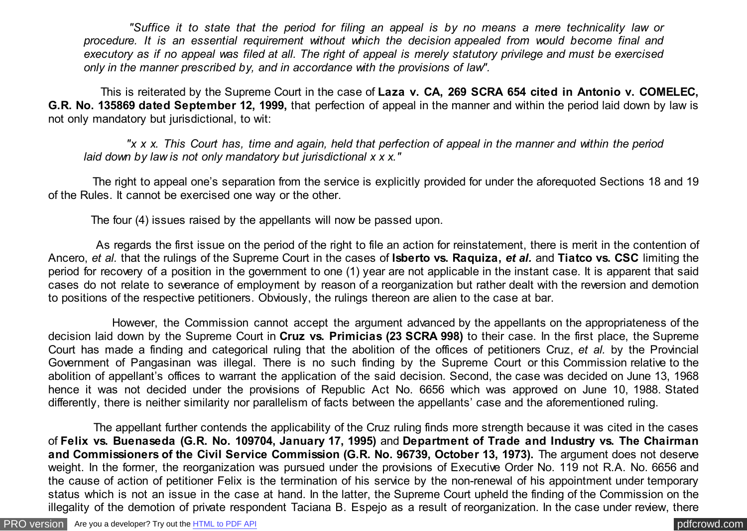*"Suffice it to state that the period for filing an appeal is by no means a mere technicality law or procedure. It is an essential requirement without which the decision appealed from would become final and executory as if no appeal was filed at all. The right of appeal is merely statutory privilege and must be exercised only in the manner prescribed by, and in accordance with the provisions of law".*

 This is reiterated by the Supreme Court in the case of **Laza v. CA, 269 SCRA 654 cited in Antonio v. COMELEC, G.R. No. 135869 dated September 12, 1999,** that perfection of appeal in the manner and within the period laid down by law is not only mandatory but jurisdictional, to wit:

 *"x x x. This Court has, time and again, held that perfection of appeal in the manner and within the period laid down by law is not only mandatory but jurisdictional x x x."*

 The right to appeal one's separation from the service is explicitly provided for under the aforequoted Sections 18 and 19 of the Rules. It cannot be exercised one way or the other.

The four (4) issues raised by the appellants will now be passed upon.

 As regards the first issue on the period of the right to file an action for reinstatement, there is merit in the contention of Ancero, *et al.* that the rulings of the Supreme Court in the cases of **Isberto vs. Raquiza,** *et al.* and **Tiatco vs. CSC** limiting the period for recovery of a position in the government to one (1) year are not applicable in the instant case. It is apparent that said cases do not relate to severance of employment by reason of a reorganization but rather dealt with the reversion and demotion to positions of the respective petitioners. Obviously, the rulings thereon are alien to the case at bar.

 However, the Commission cannot accept the argument advanced by the appellants on the appropriateness of the decision laid down by the Supreme Court in **Cruz vs. Primicias (23 SCRA 998)** to their case. In the first place, the Supreme Court has made a finding and categorical ruling that the abolition of the offices of petitioners Cruz, *et al.* by the Provincial Government of Pangasinan was illegal. There is no such finding by the Supreme Court or this Commission relative to the abolition of appellant's offices to warrant the application of the said decision. Second, the case was decided on June 13, 1968 hence it was not decided under the provisions of Republic Act No. 6656 which was approved on June 10, 1988. Stated differently, there is neither similarity nor parallelism of facts between the appellants' case and the aforementioned ruling.

 The appellant further contends the applicability of the Cruz ruling finds more strength because it was cited in the cases of **Felix vs. Buenaseda (G.R. No. 109704, January 17, 1995)** and **Department of Trade and Industry vs. The Chairman and Commissioners of the Civil Service Commission (G.R. No. 96739, October 13, 1973).** The argument does not deserve weight. In the former, the reorganization was pursued under the provisions of Executive Order No. 119 not R.A. No. 6656 and the cause of action of petitioner Felix is the termination of his service by the non-renewal of his appointment under temporary status which is not an issue in the case at hand. In the latter, the Supreme Court upheld the finding of the Commission on the illegality of the demotion of private respondent Taciana B. Espejo as a result of reorganization. In the case under review, there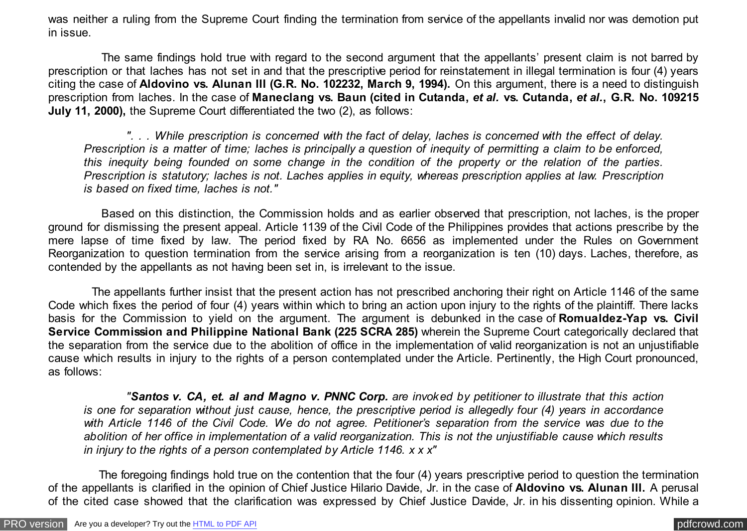was neither a ruling from the Supreme Court finding the termination from service of the appellants invalid nor was demotion put in issue.

 The same findings hold true with regard to the second argument that the appellants' present claim is not barred by prescription or that laches has not set in and that the prescriptive period for reinstatement in illegal termination is four (4) years citing the case of **Aldovino vs. Alunan III (G.R. No. 102232, March 9, 1994).** On this argument, there is a need to distinguish prescription from laches. In the case of **Maneclang vs. Baun (cited in Cutanda,** *et al.* **vs. Cutanda,** *et al.***, G.R. No. 109215 July 11, 2000),** the Supreme Court differentiated the two (2), as follows:

 *". . . While prescription is concerned with the fact of delay, laches is concerned with the effect of delay. Prescription is a matter of time; laches is principally a question of inequity of permitting a claim to be enforced, this inequity being founded on some change in the condition of the property or the relation of the parties. Prescription is statutory; laches is not. Laches applies in equity, whereas prescription applies at law. Prescription is based on fixed time, laches is not."*

 Based on this distinction, the Commission holds and as earlier observed that prescription, not laches, is the proper ground for dismissing the present appeal. Article 1139 of the Civil Code of the Philippines provides that actions prescribe by the mere lapse of time fixed by law. The period fixed by RA No. 6656 as implemented under the Rules on Government Reorganization to question termination from the service arising from a reorganization is ten (10) days. Laches, therefore, as contended by the appellants as not having been set in, is irrelevant to the issue.

 The appellants further insist that the present action has not prescribed anchoring their right on Article 1146 of the same Code which fixes the period of four (4) years within which to bring an action upon injury to the rights of the plaintiff. There lacks basis for the Commission to yield on the argument. The argument is debunked in the case of **Romualdez-Yap vs. Civil Service Commission and Philippine National Bank (225 SCRA 285)** wherein the Supreme Court categorically declared that the separation from the service due to the abolition of office in the implementation of valid reorganization is not an unjustifiable cause which results in injury to the rights of a person contemplated under the Article. Pertinently, the High Court pronounced, as follows:

 *"Santos v. CA, et. al and Magno v. PNNC Corp. are invoked by petitioner to illustrate that this action is one for separation without just cause, hence, the prescriptive period is allegedly four (4) years in accordance with Article 1146 of the Civil Code. We do not agree. Petitioner's separation from the service was due to the abolition of her office in implementation of a valid reorganization. This is not the unjustifiable cause which results in injury to the rights of a person contemplated by Article 1146. x x x"*

 The foregoing findings hold true on the contention that the four (4) years prescriptive period to question the termination of the appellants is clarified in the opinion of Chief Justice Hilario Davide, Jr. in the case of **Aldovino vs. Alunan III.** A perusal of the cited case showed that the clarification was expressed by Chief Justice Davide, Jr. in his dissenting opinion. While a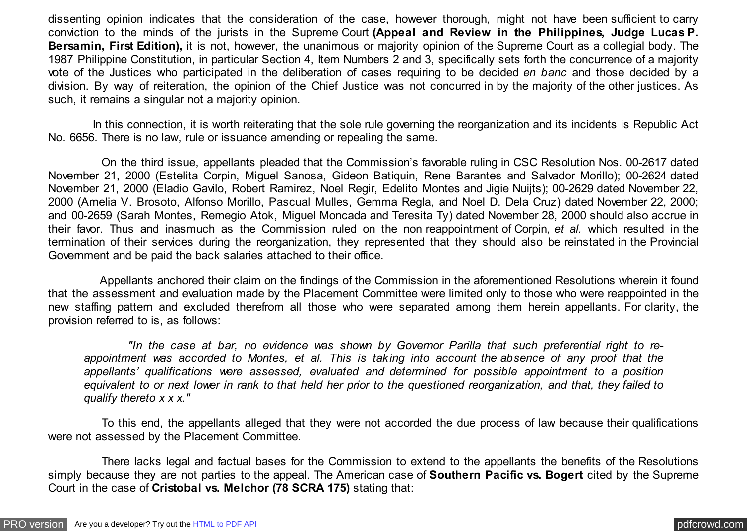dissenting opinion indicates that the consideration of the case, however thorough, might not have been sufficient to carry conviction to the minds of the jurists in the Supreme Court **(Appeal and Review in the Philippines, Judge Lucas P. Bersamin, First Edition),** it is not, however, the unanimous or majority opinion of the Supreme Court as a collegial body. The 1987 Philippine Constitution, in particular Section 4, Item Numbers 2 and 3, specifically sets forth the concurrence of a majority vote of the Justices who participated in the deliberation of cases requiring to be decided *en banc* and those decided by a division. By way of reiteration, the opinion of the Chief Justice was not concurred in by the majority of the other justices. As such, it remains a singular not a majority opinion.

 In this connection, it is worth reiterating that the sole rule governing the reorganization and its incidents is Republic Act No. 6656. There is no law, rule or issuance amending or repealing the same.

 On the third issue, appellants pleaded that the Commission's favorable ruling in CSC Resolution Nos. 00-2617 dated November 21, 2000 (Estelita Corpin, Miguel Sanosa, Gideon Batiquin, Rene Barantes and Salvador Morillo); 00-2624 dated November 21, 2000 (Eladio Gavilo, Robert Ramirez, Noel Regir, Edelito Montes and Jigie Nuijts); 00-2629 dated November 22, 2000 (Amelia V. Brosoto, Alfonso Morillo, Pascual Mulles, Gemma Regla, and Noel D. Dela Cruz) dated November 22, 2000; and 00-2659 (Sarah Montes, Remegio Atok, Miguel Moncada and Teresita Ty) dated November 28, 2000 should also accrue in their favor. Thus and inasmuch as the Commission ruled on the non reappointment of Corpin, *et al.* which resulted in the termination of their services during the reorganization, they represented that they should also be reinstated in the Provincial Government and be paid the back salaries attached to their office.

 Appellants anchored their claim on the findings of the Commission in the aforementioned Resolutions wherein it found that the assessment and evaluation made by the Placement Committee were limited only to those who were reappointed in the new staffing pattern and excluded therefrom all those who were separated among them herein appellants. For clarity, the provision referred to is, as follows:

 *"In the case at bar, no evidence was shown by Governor Parilla that such preferential right to reappointment was accorded to Montes, et al. This is taking into account the absence of any proof that the appellants' qualifications were assessed, evaluated and determined for possible appointment to a position equivalent to or next lower in rank to that held her prior to the questioned reorganization, and that, they failed to qualify thereto x x x."*

 To this end, the appellants alleged that they were not accorded the due process of law because their qualifications were not assessed by the Placement Committee.

 There lacks legal and factual bases for the Commission to extend to the appellants the benefits of the Resolutions simply because they are not parties to the appeal. The American case of **Southern Pacific vs. Bogert** cited by the Supreme Court in the case of **Cristobal vs. Melchor (78 SCRA 175)** stating that: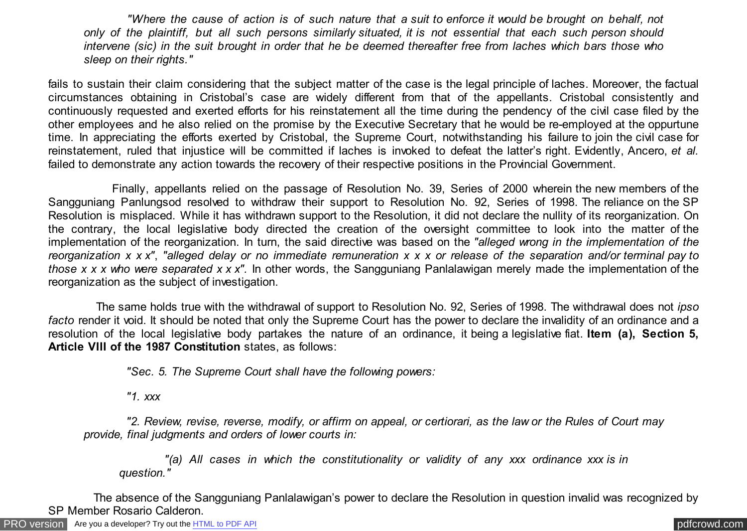*"Where the cause of action is of such nature that a suit to enforce it would be brought on behalf, not only of the plaintiff, but all such persons similarly situated, it is not essential that each such person should intervene (sic) in the suit brought in order that he be deemed thereafter free from laches which bars those who sleep on their rights."*

fails to sustain their claim considering that the subject matter of the case is the legal principle of laches. Moreover, the factual circumstances obtaining in Cristobal's case are widely different from that of the appellants. Cristobal consistently and continuously requested and exerted efforts for his reinstatement all the time during the pendency of the civil case filed by the other employees and he also relied on the promise by the Executive Secretary that he would be re-employed at the oppurtune time. In appreciating the efforts exerted by Cristobal, the Supreme Court, notwithstanding his failure to join the civil case for reinstatement, ruled that injustice will be committed if laches is invoked to defeat the latter's right. Evidently, Ancero, *et al.* failed to demonstrate any action towards the recovery of their respective positions in the Provincial Government.

 Finally, appellants relied on the passage of Resolution No. 39, Series of 2000 wherein the new members of the Sangguniang Panlungsod resolved to withdraw their support to Resolution No. 92, Series of 1998. The reliance on the SP Resolution is misplaced. While it has withdrawn support to the Resolution, it did not declare the nullity of its reorganization. On the contrary, the local legislative body directed the creation of the oversight committee to look into the matter of the implementation of the reorganization. In turn, the said directive was based on the *"alleged wrong in the implementation of the reorganization x x x"*, *"alleged delay or no immediate remuneration x x x or release of the separation and/or terminal pay to those x x x who were separated x x x".* In other words, the Sangguniang Panlalawigan merely made the implementation of the reorganization as the subject of investigation.

 The same holds true with the withdrawal of support to Resolution No. 92, Series of 1998. The withdrawal does not *ipso facto* render it void. It should be noted that only the Supreme Court has the power to declare the invalidity of an ordinance and a resolution of the local legislative body partakes the nature of an ordinance, it being a legislative fiat. **Item (a), Section 5, Article VIII of the 1987 Constitution** states, as follows:

 *"Sec. 5. The Supreme Court shall have the following powers:*

 *"1. xxx*

 *"2. Review, revise, reverse, modify, or affirm on appeal, or certiorari, as the law or the Rules of Court may provide, final judgments and orders of lower courts in:*

 *"(a) All cases in which the constitutionality or validity of any xxx ordinance xxx is in question."*

 The absence of the Sangguniang Panlalawigan's power to declare the Resolution in question invalid was recognized by SP Member Rosario Calderon.

[PRO version](http://pdfcrowd.com/customize/) Are you a developer? Try out th[e HTML to PDF API](http://pdfcrowd.com/html-to-pdf-api/?ref=pdf) process and the example of the HTML to PDF API [pdfcrowd.com](http://pdfcrowd.com)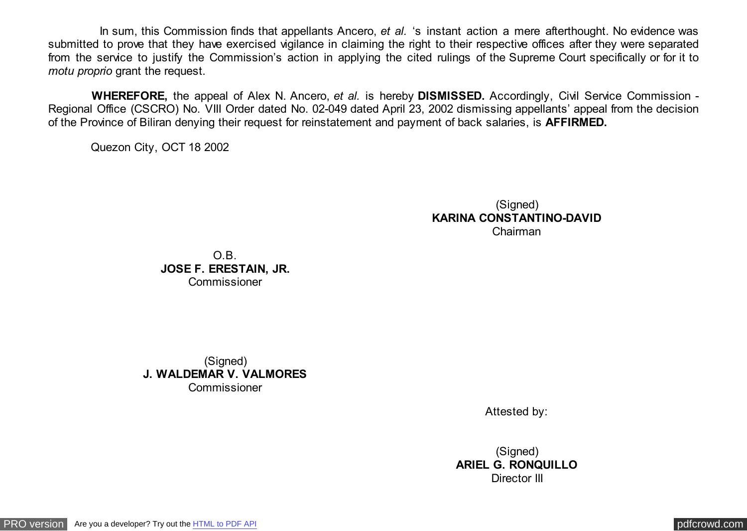In sum, this Commission finds that appellants Ancero, *et al.* 's instant action a mere afterthought. No evidence was submitted to prove that they have exercised vigilance in claiming the right to their respective offices after they were separated from the service to justify the Commission's action in applying the cited rulings of the Supreme Court specifically or for it to *motu proprio* grant the request.

 **WHEREFORE,** the appeal of Alex N. Ancero, *et al.* is hereby **DISMISSED.** Accordingly, Civil Service Commission - Regional Office (CSCRO) No. VIII Order dated No. 02-049 dated April 23, 2002 dismissing appellants' appeal from the decision of the Province of Biliran denying their request for reinstatement and payment of back salaries, is **AFFIRMED.**

Quezon City, OCT 18 2002

(Signed) **KARINA CONSTANTINO-DAVID** Chairman

O.B. **JOSE F. ERESTAIN, JR. Commissioner** 

(Signed) **J. WALDEMAR V. VALMORES** Commissioner

Attested by:

(Signed) **ARIEL G. RONQUILLO** Director III